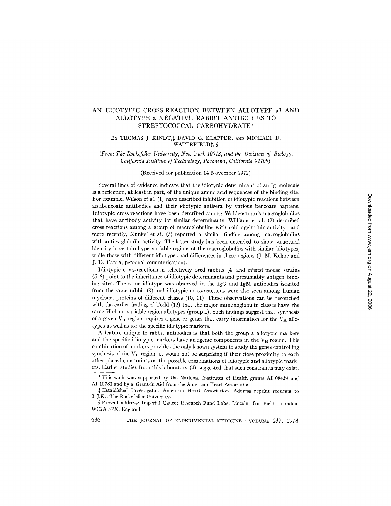# AN IDIOTYPIC CROSS-REACTION BETWEEN ALLOTYPE a3 AND ALLOTYPE a NEGATIVE RABBIT ANTIBODIES TO STREPTOCOCCAL CARBOHYDRATE\*

# BY THOMAS J. KINDT, : DAVID G. KLAPPER, AND MICHAEL D. WATERFIELD<sup>t</sup>, §

*(From The Rockefeller University, New York 10012, and the Division of Biology, California Institute of Technology, Pasadena, California 91109)* 

#### (Received for publication 14 November 1972)

Several lines of evidence indicate that the idiotypic determinant of an Ig molecule is a reflection, at least in part, of the unique amino acid sequences of the binding site. For example, Wilson et al. (I) have described inhibition of idiotypic reactions between antibenzoate antibodies and their idiotypic antisera by various benzoate haptens. Idiotypic cross-reactions have been described among Waldenström's macroglobulins that have antibody activity for similar determinants. Williams et al. (2) described cross-reactions among a group of macroglobulins with cold agglutinin activity, and more recently, Kunkel et al. (3) reported a similar finding among macroglobulins with anti- $\gamma$ -globulin activity. The latter study has been extended to show structural identity in certain hypervariable regions of the macroglobulins with similar idiotypes, while those with different idiotypes had differences in these regions (J. M. Kehoe and J. D. Capra, personal communication).

Idiotypic cross-reactions in selectively bred rabbits (4) and inbred mouse strains (5-8) point to the inheritance of idiotypic determinants and presumably antigen binding sites. The same idiotype was observed in the IgG and IgM antibodies isolated from the same rabbit (9) and idiotypic cross-reactions were also seen among human myeloma proteins of different classes (10, 11). These observations can be reconciled with the earlier finding of Todd (12) that the major immunoglobulin classes have the same H chain variable region allotypes (group a). Such findings suggest that synthesis of a given  $V_H$  region requires a gene or genes that carry information for the  $V_H$  allotypes as well as for the specific idiotypic markers.

A feature unique to rabbit antibodies is that both the group a allotypic markers and the specific idiotypic markers have antigenic components in the  $V_H$  region. This combination of markers provides the only known system to study the genes controlling synthesis of the  $V_H$  region. It would not be surprising if their close proximity to each other placed constraints on the possible combinations of idiotypic and allotypic markers. Earlier studies from this laboratory (4) suggested that such constraints may exist.

<sup>\*</sup> This work was supported by the National Institutes of Health grants AI 08429 and AI 10781 and by a Grant-in-Aid from the American Heart Association.

 $\ddagger$  Established Investigator, American Heart Association. Address reprint requests to T.J.K., The Rockefeller University.

<sup>§</sup> Present address: Imperial Cancer Research Fund Labs, Lincolns Inn Fields, London, WC2A 3PX, England.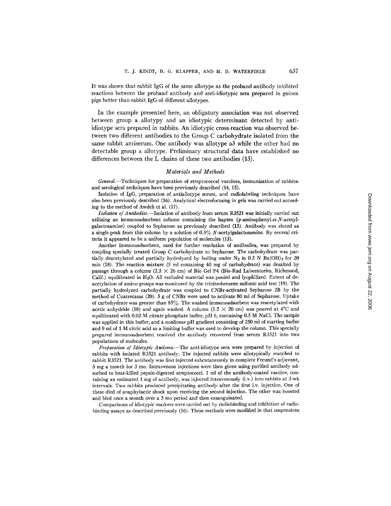It was shown that rabbit IgG of the same allotype as the proband antibody inhibited reactions between the proband antibody and anti-idiotypic sera prepared in guinea pigs better than rabbit IgG of different allotypes.

In the example presented here, an obligatory association was not observed between group a allotypy and an idiotypic determinant detected by antiidiotype sera prepared in rabbits. An idiotypic cross-reaction was observed between two different antibodies to the Group C carbohydrate isolated from the same rabbit antiserum. One antibody was allotype a3 while the other had no detectable group a allotype. Preliminary structural data have established no differences between the L chains of these two antibodies (13).

## *Materials and Methods*

*General.--Techniques* for preparation of streptococcal vaccines, immunization of rabbits, and serological techniques have been previously described (14, 15).

Isolation of IgG, preparation of anfiallotype serum, and radiolabeling techniques have also been previously described (16). Analytical electrofocusing in gels was carried out according to the method of Awdeh et al. (17).

*Isolation of Antibodies.--Isolation* of antibody from serum R3521 was initially carried out utilizing an immunoadsorbent column containing the hapten  $(\rho$ -aminophenyl- $\alpha$ -N-acetylgalactosamine) coupled to Sepharose as previously described (15). Antibody was eluted as a single peak from this column by a solution of  $0.5\%$  N-acetylgalactosamine. By several criteria it appeared to be a uniform population of molecules (13).

Another immunoadsorbent, used for further resolution of antibodies, was prepared by coupling specially treated Group C carbohydrate to Sepharose. The carbohydrate was partially deacetylated and partially hydrolyzed by boiling under  $N_2$  in 0.5 N Ba(OH)<sub>2</sub> for 20 min (18). The reaction mixture (5 ml containing 40 mg of carbohydrate) was desalted by passage through a column  $(2.5 \times 26 \text{ cm})$  of Bio Gel P4 (Bio-Rad Laboratories, Richmond, Calif.) equilibrated in H<sub>2</sub>O. All excluded material was pooled and lyophilized. Extent of deacetylation of amino groups was monitored by the trinitrobenzene sulfonic acid test (19). The partially hydrolyzed carbohydrate was coupled to CNBr-activated Sepharose 2B by the method of Cuatrecasas (20). 5 g of CNBr were used to activate 80 ml of Sepharose. Uptake of carbohydrate was greater than  $85\%$ . The washed immunoadsorbent was reacetylated with acetic anhydride (18) and again washed. A column (1.2  $\times$  20 cm) was poured at 4<sup>o</sup>C and equilibrated with 0.02 M citrate phosphate buffer, pH 6, containing 0.5 M NaC1. The sample was applied in this buffer, and a nonlinear pH gradient consisting of 250 ml of starting buffer and 9 ml of 1 M citric acid as a limiting buffer was used to develop the column. This specially prepared immunoadsorbent resolved the antibody recovered from serum R3521 into two populations of molecules.

*Preparation of Idiotyplc Antisera.--The* anti-idiotype sera were prepared by injection of rabbits with isolated R3521 antibody. The injected rabbits were allotypically matched to rabbit R3521. The antibody was first injected subcutaneously in complete Freund's adjuvant,  $5$  mg a month for  $3$  mo. Intravenous injections were then given using purified antibody adsorbed to heat-killed pepsin-digested streptococci. 1 ml of the antibody-coated vaccine, containing an estimated 1 mg of antibody, was injected intravenously (i.v.) into rabbits at 3-wk intervals. Two rabbits produced precipitating antibody after the first i.v. injection. One of these died of anaphylactic shock upon receiving the second injection. The other was boosted and bled once a month over a 5 mo period and then exsanguinated.

Comparisons of idiotypic markers were carried out by radiobinding and inhibition of radiobinding assays as described previously (16). These methods were modified in that suspensions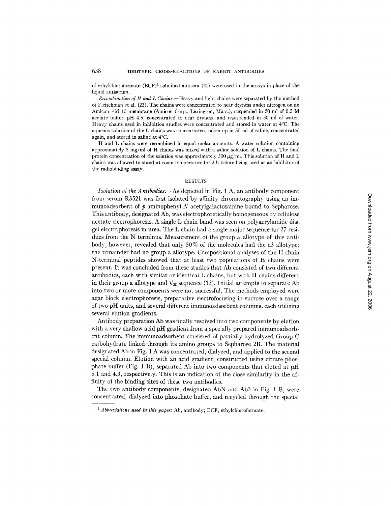of ethylchloroformate  $(ECF)^1$  solidified antisera (21) were used in the assays in place of the liquid antiserum.

*Recombination of H and L Chains.--Heavy* and light chains were separated by the method of Fleischman et al. (22). The chains were concentrated to near dryness under nitrogen on an Amicon PM 10 membrane (Amicon Corp., Lexington, Mass.), suspended in 50 ml of 0.5 M acetate buffer, pH 4.5, concentrated to near dryness, and resuspended in 50 ml of water. Heavy chains used in inhibition studies were concentrated and stored in water at 4°C. The aqueous solution of the L chains was concentrated, taken up in 50 ml of saline, concentrated again, and stored in saline at 4°C.

H and L chains were recombined in equal molar amounts. A water solution containing approximately 5 mg/ml of H chains was mixed with a saline solution of L chains. The final protein concentration of the solution was approximately 500  $\mu$ g/ml. This solution of H and L chains was allowed to stand at room temperature for 2 h before being used as an inhibitor of the radiobinding assay.

#### **RESULTS**

*Isolation of the Antibodies.--As* depicted in Fig. 1 A, an antibody component from serum R3521 was first isolated by affinity chromatography using an immunoadsorbent of  $p$ -aminophenyl-N-acetylgalactosamine bound to Sepharose. This antibody, designated Ab, was electrophoretically homogeneous by cellulose acetate electrophoresis. A single L chain band was seen on polyacrylamide disc gel electrophoresis in urea, The L chain had a single major sequence for 27 residues from the N terminus. Measurement of the group a allotype of this antibody, however, revealed that only 50% of the molecules had the a3 allotype; the remainder had no group a allotype. Compositional analyses of the H chain N-terminal peptides showed that at least two populations of H chains were present. It was concluded from these studies that Ab consisted of two different antibodies, each with similar or identical L chains, but with H chains different in their group a allotype and  $V_H$  sequence (13). Initial attempts to separate Ab into two or more components were not successful. The methods employed were agar block electrophoresis, preparative electrofocusing in sucrose over a range of two pH units, and several different immunoadsorbent columns, each utilizing several elution gradients.

Antibody preparation Ab was finally resolved into two components by elution with a very shallow acid pH gradient from a specially prepared immunoadsorbent column. The immunoadsorbent consisted of partially hydrolyzed Group C carbohydrate linked through its amino groups to Sepharose 2B. The material designated Ab in Fig. 1 A was concentrated, dialyzed, and applied to the second special column. Elution with an acid gradient, constructed using citrate phosphate buffer (Fig. 1 B), separated Ab into two components that eluted at pH 5.1 and 4.3, respectively. This is an indication of the close similarity in the affinity of the binding sites of these two antibodies.

The two antibody components, designated AbN and Ab3 in Fig. 1 B, were concentrated, dialyzed into phosphate buffer, and recycled through the special

*<sup>1</sup> Abbreviations used in this paper:* Ab, antibody; ECF, ethylehloroformate.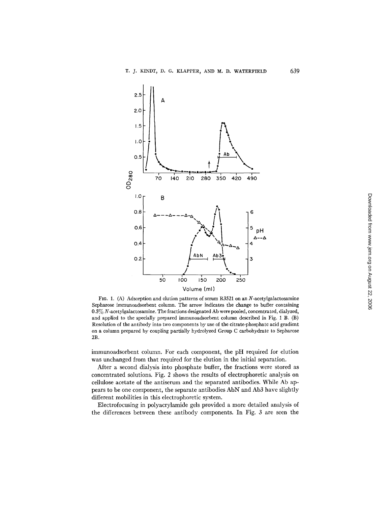

FIG. 1. (A) Adsorption and elution patterns of serum R3521 on an N-acetylgalactosamine Sepharose immunoadsorbent column. The arrow indicates the change to buffer containing 0.5% N-acetylgalactosamine. The fractions designated Ab were pooled, concentrated, dialyzed, and applied to the specially prepared immunoadsorbent column described in Fig. 1 B. (B) Resolution of the antibody into two components by use of the citrate-phosphate acid gradient on a column prepared by coupling partially hydrolyzed Group C carbohydrate to Sepharose 2B.

immunoadsorbent column. For each component, the pH required for elution was unchanged from that required for the elution in the initial separation.

After a second dialysis into phosphate buffer, the fractions were stored as concentrated solutions. Fig. 2 shows the results of electrophoretic analysis on cellulose acetate of the antiserum and the separated antibodies. While Ab appears to be one component, the separate antibodies AbN and Ab3 have slightly different mobilities in this electrophoretic system.

Electrofocusing in polyacrylamide gels provided a more detailed analysis of the differences between these antibody components. In Fig. 3 are seen the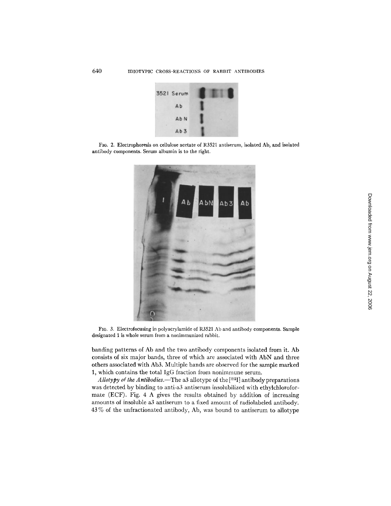

FiG. 2. Electrophoresis on cellulose acetate of R3521 antiserum, isolated Ab, and isolated antibody components. Serum albumin is to the right.



FIC. 3. Electrofocusing in polyacrylamide of R3521 Ab and antibody components. Sample designated 1 is whole serum from a nonimmunized rabbit.

banding patterns of Ab and the two antibody components isolated from it. Ab consists of six major bands, three of which are associated with AbN and three others associated with Ab3. Multiple bands are observed for the sample marked 1, which contains the total IgG fraction from nonirnmune serum.

*Allotypy of the Antibodies.*-The a3 allotype of the [125] antibody preparations was detected by binding to anti-a3 antiserum insolubilized with ethylchloroformate (ECF). Fig. 4 A gives the results obtained by addition of increasing amounts of insoluble a3 antiserum to a fixed amount of radiolabeled antibody. 43 % of the unfractionated antibody, Ab, was bound to antiserum to allotype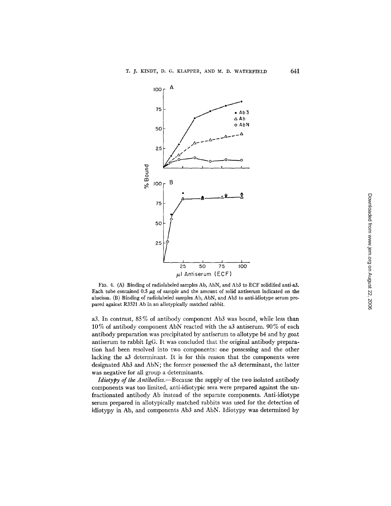

FIG. 4. (A) Binding of radiolabeled samples Ab, AbN, and Ab3 to ECF solidified anti-a3. Each tube contained 0.5  $\mu$ g of sample and the amount of solid antiserum indicated on the abscissa. (B) Binding of radiolabeled samples Ab, AbN, and Ab3 to anti-idiotype serum prepared against R3521 Ab in an allotypically matched rabbit.

a3. In contrast, 85 % of antibody component Ab3 was bound, while less than 10 % of antibody component AbN reacted with the a3 antiserum. 90 % of each antibody preparation was precipitated by antiserum to allotype b4 and by goat antiserum to rabbit IgG. It was concluded that the original antibody preparation had been resolved into two components: one possessing and the other lacking the a3 determinant. It is for this reason that the components were designated Ab3 and AbN; the former possessed the a3 determinant, the latter was negative for all group a determinants.

*Idiotypy of the Antibodies.--Because* the supply of the two isolated antibody components was too limited, anti-idiotypic sera were prepared against the unfractionated antibody Ab instead of the separate components. Anti-idiotype serum prepared in allotypically matched rabbits was used for the detection of idiotypy in Ab, and components Ab3 and AbN. Idiotypy was determined by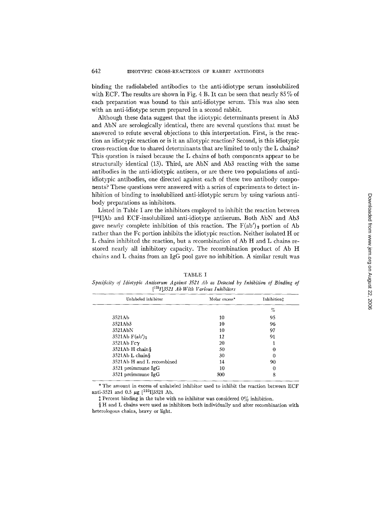binding the radiolabeled antibodies to the anti-idiotype serum insolubilized with ECF. The results are shown in Fig. 4 B. It can be seen that nearly 85 % of each preparation was bound to this anti-idiotype serum. This was also seen with an anti-idiotype serum prepared in a second rabbit.

Although these data suggest that the idiotypic determinants present in Ab3 and AbN are serologically identical, there are several questions that must be answered to refute several objections to this interpretation. First, is the reaction an idiotypic reaction or is it an allotypic reaction? Second, is this idiotypic cross-reaction due to shared determinants that are limited to only the L chains? This question is raised because the L chains of both components appear to be structurally identical (13). Third, are AbN and Ab3 reacting with the same antibodies in the anti-idiotypic antisera, or are there two populations of antiidiotypic antibodies, one directed against each of these two antibody components? These questions were answered with a series of experiments to detect inhibition of binding to insolubilized anti-idiotypic serum by using various antibody preparations as inhibitors.

Listed in Table I are the inhibitors employed to inhibit the reaction between [125I]Ab and ECF-insolubilized anti-idiotype antiserum. Both AbN and Ab3 gave nearly complete inhibition of this reaction. The  $F(ab')_2$  portion of Ab rather than the Fc portion inhibits the idiotypic reaction. Neither isolated H or L chains inhibited the reaction, but a recombination of Ab H and L chains restored nearly all inhibitory capacity. The recombination product of Ab H chains and L chains from an IgG pool gave no inhibition. A similar result was

TABLE I *Specificity of Idiotypic Antiserum Against 3521 Ab as Detected by Inhibition of Binding of [125113521 Ab With Various Inhibitors* 

|  | Unlabeled inhibitor       | Molar excess* | Inhibitiont |
|--|---------------------------|---------------|-------------|
|  |                           |               | $\%$        |
|  | 3521Ab                    | 10            | 95          |
|  | 3521Ab3                   | 10            | 96          |
|  | 3521AbN                   | 10            | 97          |
|  | $3521Ab F(ab')_2$         | 12            | 91          |
|  | $3521Ab$ Fc $\gamma$      | 20            |             |
|  | 3521Ab H chain§           | 50            | 0           |
|  | 3521Ab L chain§           | 30            | 0           |
|  | 3521Ab H and L recombined | 14            | 90          |
|  | $3521$ preimmune IgG      | 10            | O           |
|  | $3521$ preimmune IgG      | 500           | 8           |
|  |                           |               |             |

\* The amount in excess of unlabeled inhibitor used to inhibit the reaction between ECF anti-3521 and 0.5  $\mu$ g [<sup>125</sup>I]3521 Ab.

 $\ddagger$  Percent binding in the tube with no inhibitor was considered 0% inhibition.

§ H and L chains were used as inhibitors both individually and after recombination with heterologous chains, heavy or light.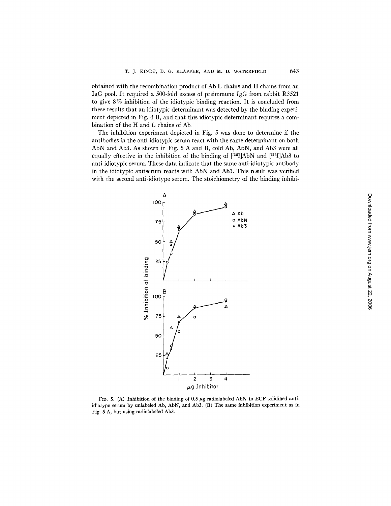**obtained with the recombination product of Ab L chains and H chains from an IgG pool. It required a 500-fold excess of preimmune IgG from rabbit R3521 to give 8 % inhibition of the idiotypic binding reaction. It is concluded from these results that an idiotypic determinant was detected by the binding experiment depicted in Fig. 4 B, and that this idiotypic determinant requires a combination of the H and L chains of Ab.** 

**The inhibition experiment depicted in Fig. 5 was done to determine if the antibodies in the anti-idiotypic serum react with the same determinant on both AbN and Ab3. As shown in Fig. 5 A and B, cold Ab, AbN, and Ab3 were all**  equally effective in the inhibition of the binding of  $[1251]$ AbN and  $[125]$ Ab3 to **anti-idiotypic serum. These data indicate that the same anti-idiotypic antibody in the idiotypic antiserum reacts with AbN and Ab3. This result was verified with the second anti-idiotype serum. The stoichiometry of the binding inhibi-**



FIG. 5. (A) Inhibition of the binding of 0.5  $\mu$ g radiolabeled AbN to ECF solidified anti**idiotype serum by unlabeled Ab, AbN, and Ab3. (B) The samc inhibition experiment as in**  Fig. 5 A, **but using radiolabeled Ab3.**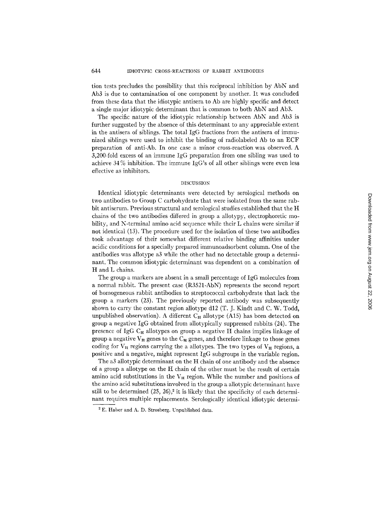tion tests precludes the possibility that this reciprocal inhibition by AbN and Ab3 is due to contamination of one component by another. It was concluded from these data that the idiotypic antisera to Ab are highly specific and detect a single major idiotypic determinant that is common to both AbN and Ab3.

The specific nature of the idiotypic relationship between AbN and Ab3 is further suggested by the absence of this determinant to any appreciable extent in the antisera of siblings. The total IgG fractions from the antisera of immunized siblings were used to inhibit the binding of radiolabeled Ab to an ECF preparation of anti-Ab. In one case a minor cross-reaction was observed. A 3,200-fold excess of an immune IgG preparation from one sibling was used to achieve 34 % inhibition. The immune IgG's of all other siblings were even less effective as inhibitors.

## DISCUSSION

Identical idiotypic determinants were detected by serological methods on two antibodies to Group C carbohydrate that were isolated from the same rabbit antiserum. Previous structural and serological studies established that the H chains of the two antibodies differed in group a allotypy, electrophoretic mobility, and N-terminal amino acid sequence while their L chains were similar if not identical (13). The procedure used for the isolation of these two antibodies took advantage of their somewhat different relative binding affinities under acidic conditions for a specially prepared immunoadsorbent column. One of the antibodies was allotype a3 while the other had no detectable group a determinant. The common idiotypic determinant was dependent on a combination of H and L chains.

The group a markers are absent in a small percentage of IgG molecules from a normal rabbit. The present case (R3521-AbN) represents the second report of homogeneous rabbit antibodies to streptococcal carbohydrate that lack the group a markers (23). The previously reported antibody was subsequently shown to carry the constant region allotype d12 (T. J. Kindt and C. W. Todd, unpublished observation). A different  $C_H$  allotype (A15) has been detected on group a negative IgG obtained from allotypically suppressed rabbits (24). The presence of IgG  $C_H$  allotypes on group a negative H chains implies linkage of group a negative  $V_H$  genes to the  $C_H$  genes, and therefore linkage to those genes coding for  $V_H$  regions carrying the a allotypes. The two types of  $V_H$  regions, a positive and a negative, might represent IgG subgroups in the variable region.

The a3 allotypic determinant on the H chain of one antibody and the absence of a group a allotype on the H chain of the other must be the result of certain amino acid substitutions in the  $V_H$  region. While the number and positions of the amino acid substitutions involved in the group a allotypic determinant have still to be determined  $(25, 26)$ ,<sup>2</sup> it is likely that the specificity of each determinant requires multiple replacements. Serologically identical idiotypic determi-

<sup>&</sup>lt;sup>2</sup> E. Haber and A. D. Strosberg. Unpublished data.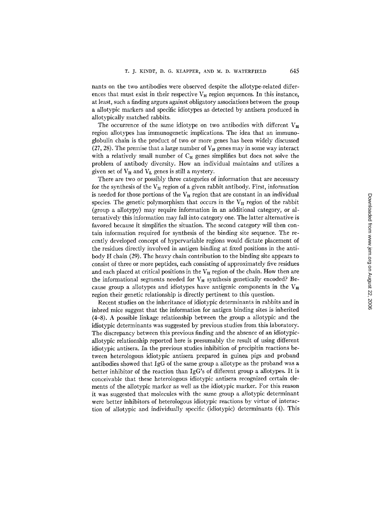nants on the two antibodies were observed despite the allotype-related differences that must exist in their respective  $V_H$  region sequences. In this instance, at least, such a finding argues against obligatory associations between the group a allotypic markers and specific idiotypes as detected by antisera produced in allotypically matched rabbits.

The occurrence of the same idiotype on two antibodies with different  $V_{\text{H}}$ region a]lotypes has immunogenetic implications. The idea that an immunoglobulin chain is the product of two or more genes has been widely discussed (27, 28). The premise that a large number of  $V_H$  genes may in some way interact with a relatively small number of  $C_H$  genes simplifies but does not solve the problem of antibody diversity. How an individual maintains and utilizes a given set of  $V_H$  and  $V_L$  genes is still a mystery.

There are two or possibly three categories of information that are necessary for the synthesis of the  $V_H$  region of a given rabbit antibody. First, information is needed for those portions of the  $V_H$  region that are constant in an individual species. The genetic polymorphism that occurs in the  $V_H$  region of the rabbit (group a allotypy) may require information in an additional category, or alternatively this information may fall into category one. The latter alternative is favored because it simplifies the situation. The second category will then contain information required for synthesis of the binding site sequence. The recently developed concept of hypervariable regions would dictate placement of the residues directly involved in antigen binding at fixed positions in the antibody H chain (29). The heavy chain contribution to the binding site appears to consist of three or more peptides, each consisting of approximately five residues and each placed at critical positions in the  $V_H$  region of the chain. How then are the informational segments needed for  $V_H$  synthesis genetically encoded? Because group a allotypes and idiotypes have antigenic components in the  $V<sub>H</sub>$ region their genetic relationship is directly pertinent to this question.

Recent studies on the inheritance of idiotypic determinants in rabbits and in inbred mice suggest that the information for antigen binding sites is inherited (4-8). A possible linkage relationship between the group a allotypic and the idiotypic determinants was suggested by previous studies from this laboratory. The discrepancy between this previous finding and the absence of an idiotypicallotypic relationship reported here is presumably the result of using different idiotypic antisera. In the previous studies inhibition of precipitin reactions between heterologous idiotypic antisera prepared in guinea pigs and proband antibodies showed that IgG of the same group a aJlotype as the proband was a better inhibitor of the reaction than IgG's of different group a allotypes. It is conceivable that these heterologous idiotypic antisera recognized certain elements of the allotypic marker as well as the idiotypic marker. For this reason it was suggested that molecules with the same group a aJlotypic determinant were better inhibitors of heterologous idiotypic reactions by virtue of interaction of allotypic and individually specific (idiotypic) determinants (4). This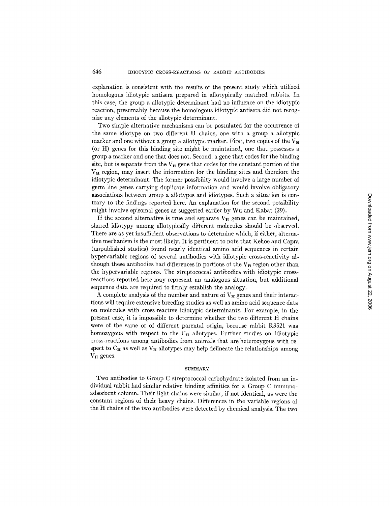explanation is consistent with the results of the present study which utilized homologous idiotypic antisera prepared in allotypically matched rabbits. In this case, the group a allotypic determinant had no influence on the idiotypic reaction, presumably because the homologous idiotypic antisera did not recognize any elements of the allotypic determinant.

Two simple alternative mechanisms can be postulated for the occurrence of the same idiotype on two different H chains, one with a group a allotypic marker and one without a group a allotypic marker. First, two copies of the  $V_H$ (or H) genes for this binding site might be maintained, one that possesses a group a marker and one that does not. Second, a gene that codes for the binding site, but is separate from the  $V_H$  gene that codes for the constant portion of the  $V_H$  region, may insert the information for the binding sites and therefore the idiotypic determinant. The former possibility would involve a large number of germ line genes carrying duplicate information and would involve obligatory associations between group a allotypes and idiotypes. Such a situation is contrary to the findings reported here. An explanation for the second possibility might involve episomal genes as suggested earlier by Wu and Kabat (29).

If the second alternative is true and separate  $V<sub>H</sub>$  genes can be maintained, shared idiotypy among allotypically different molecules should be observed. There are as yet insufficient observations to determine which, if either, alternative mechanism is the most likely. It is pertinent to note that Kehoe and Capra (unpublished studies) found nearly identical amino acid sequences in certain hypervariable regions of several antibodies with idiotypic cross-reactivity although these antibodies had differences in portions of the  $V_H$  region other than the hypervariable regions. The streptococcal antibodies with idiotypic crossreactions reported here may represent an analogous situation, but additional sequence data are required to firmly establish the analogy.

A complete analysis of the number and nature of  $V_H$  genes and their interactions will require extensive breeding studies as well as amino acid sequence data on molecules with cross-reactive idiotypic determinants. For example, in the present case, it is impossible to determine whether the two different H chains were of the same or of different parental origin, because rabbit R3521 was homozygous with respect to the  $C_H$  allotypes. Further studies on idiotypic cross-reactions among antibodies from animals that are heterozygous with respect to  $C_{\mathbf{H}}$  as well as  $V_{\mathbf{H}}$  allotypes may help delineate the relationships among  $V_{\rm H}$  genes.

#### **SUMMARY**

Two antibodies to Group C streptococcal carbohydrate isolated from an individual rabbit had similar relative binding affinities for a Group C immunoadsorbent column. Their light chains were similar, if not identical, as were the constant regions of their heavy chains. Differences in the variable regions of the H chains of the two antibodies were detected by chemical analysis. The two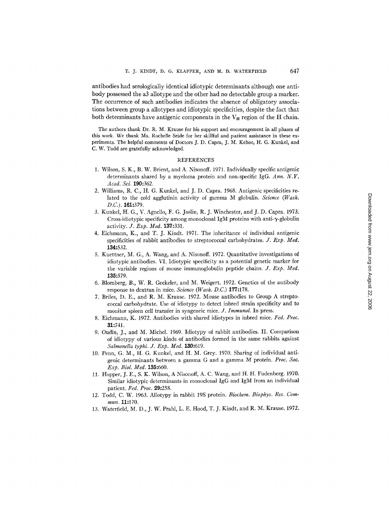antibodies had serologically identical idiotypic determinants although one antibody possessed the a3 allotype and the other had no detectable group a marker. The occurrence of such antibodies indicates the absence of obligatory associations between group a allotypes and idiotypic specificities, despite the fact that both determinants have antigenic components in the  $V_H$  region of the H chain.

The authors thank Dr. R. M. Krause for his support and encouragement in all phases of this work. We thank Ms. Rochelle Seide for her skillful and patient assistance in these experiments. The helpful comments of Doctors J. D. Capra, J. M. Kehoe, H. G. Kunkel, and C. W. Todd are gratefully acknowledged.

#### REFERENCES

- 1. Wilson, S. K., B. W. Brient, and A. Nisonoff. 1971. Individually specific antigenic determinants shared by a myeloma protein and non-specific IgG. *Ann. N.Y. Acad. Sci.* 190:362.
- 2. Williams, R. C., H. G. Kunkel, and J. D. Capra. 1968. Antigenic specificities related to the cold agglutinin activity of gamma M globulin. *Science (Wash. D.C.).* 161:379.
- 3. Kunkel, H. G., V. Agnello, F. G. Joslin, R. J. Winchester, and J. D. Capra. 1973. Cross-idiotypic specificity among monoclonal IgM proteins with anti- $\gamma$ -globulin activity. *J. Exp. Med.* 137:331.
- 4. Eichmann, K., and T. J. Kindt. 1971. The inheritance of individual antigenic specificities of rabbit antibodies to streptococcal carbohydrates. *J. Exp. Meal.*  134:532.
- 5. Kuettner, M. G., A. Wang, and A. Nisonoff. 1972. Quantitative investigations of idiotypic antibodies. VI. Idiotypic specificity as a potential genetic marker for the variable regions of mouse immunoglobulln peptide chains. *J. Exp. Med.*  135:579.
- 6. Blomberg, B., W. R. Geckeler, and M. Weigert. 1972. Genetics of the antibody response to dextran in mice. *Science (Wash. D.C.)* 177:178.
- 7. Briles, D. E., and R. M. Krause. 1972. Mouse antibodies to Group A streptococcal carbohydrate. Use of idiotypy to detect inbred strain specificity and to monitor spleen cell transfer in syngeneic mice. *J. Immunol.* In press.
- 8. Eichmann, K. 1972. Antibodies with shared idiotypes in inbred mice. *Fed. Proc.*  31:741.
- 9. Oudin, J., and M. Michel. 1969. Idiotypy of rabbit antibodies. II. Comparison of idiotypy of various kinds of antibodies formed in the same rabbits against *Salmonella typhi. J. Exp. Med.* 130:619.
- 10. Penn, G. M., H. G. Kunkel, and H. M. Grey. 1970. Sharing of individual antigenic determinants between a gamma G and a gamma M protein. *Proc. Soc. Exp. Biol. Med.* 135:660.
- 11. Hopper, J. E., S. K. Wilson, A Nisonoff, A. C. Wang, and H. H. Fudenberg. 1970. Similar idiotypic determinants in monoclonal IgG and IgM from an individual patient. *Fed. Proc.* 29:258.
- 12. Todd, C. W. 1963. Allotypy in rabbit 19S protein. *Biochem. Biophys. Res. Commun.* 11:170.
- 13. Waterfield, M. D., J. W. Prahl, L. E. Hood, T. J. Kindt. and R. M. Krause. 1972.